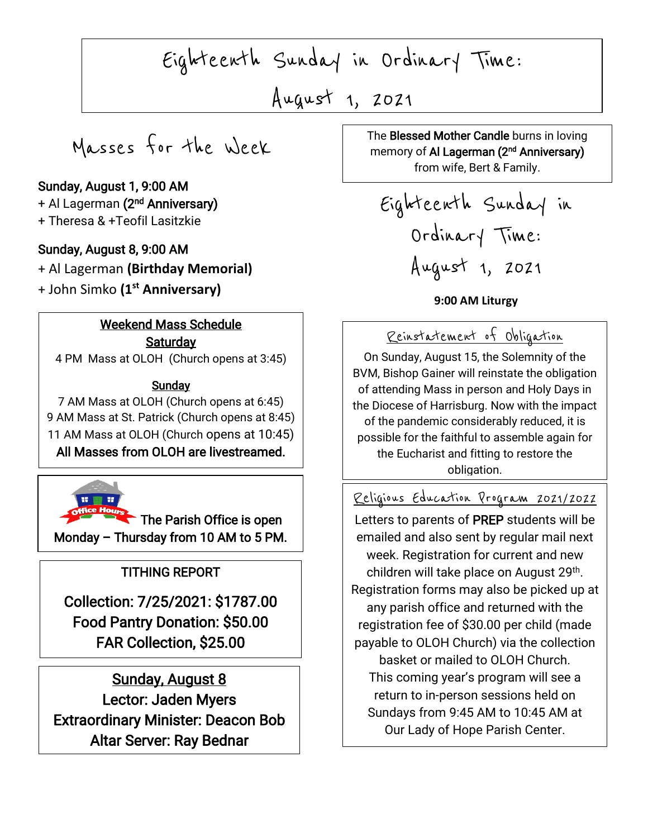Eighteenth Sunday in Ordinary Time:

August 1, 2021

 $\overline{\phantom{a}}$ 

Masses for the Week

### Sunday, August 1, 9:00 AM

+ Al Lagerman **(2<sup>nd</sup> Anniversary)** + Theresa & +Teofil Lasitzkie

#### Sunday, August 8, 9:00 AM

+ Al Lagerman **(Birthday Memorial)**  + John Simko **(1st Anniversary)** 

#### Weekend Mass Schedule **Saturday**

4 PM Mass at OLOH (Church opens at 3:45)

#### The <u>Sunday</u>

7 AM Mass at OLOH (Church opens at 6:45) 9 AM Mass at St. Patrick (Church opens at 8:45) 11 AM Mass at OLOH (Church opens at 10:45) All Masses from OLOH are livestreamed.



The Parish Office is open Monday – Thursday from 10 AM to 5 PM.

# TITHING REPORT

Collection: 7/25/2021: \$1787.00 Food Pantry Donation: \$50.00 FAR Collection, \$25.00

 Lector: Jaden Myers Extraordinary Minister: Deacon Bob Sunday, August 8 Altar Server: Ray Bednar

 $\begin{array}{|c|c|c|c|c|}\n\hline\n\hline\n\end{array}$ The Blessed Mother Candle burns in loving memory of **Al Lagerman (2<sup>nd</sup> Anniversary)** from wife, Bert & Family.

Eighteenth Sunday in Ordinary Time: August 1, 2021

**9:00 AM Liturgy**

### Reinstatement of Obligation

On Sunday, August 15, the Solemnity of the BVM, Bishop Gainer will reinstate the obligation of attending Mass in person and Holy Days in the Diocese of Harrisburg. Now with the impact of the pandemic considerably reduced, it is possible for the faithful to assemble again for the Eucharist and fitting to restore the obligation.

#### Religious Education Program 2021/2022

week. Registration for current and new<br>children will take place on August 29<sup>th</sup>. Letters to parents of PREP students will be emailed and also sent by regular mail next week. Registration for current and new Registration forms may also be picked up at any parish office and returned with the registration fee of \$30.00 per child (made payable to OLOH Church) via the collection basket or mailed to OLOH Church. This coming year's program will see a return to in-person sessions held on Sundays from 9:45 AM to 10:45 AM at Our Lady of Hope Parish Center.